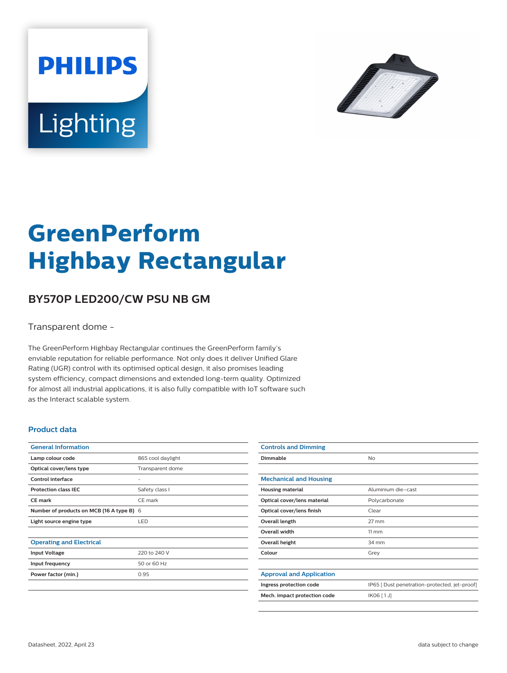



# **GreenPerform Highbay Rectangular**

## **BY570P LED200/CW PSU NB GM**

Transparent dome -

The GreenPerform Highbay Rectangular continues the GreenPerform family's enviable reputation for reliable performance. Not only does it deliver Unified Glare Rating (UGR) control with its optimised optical design, it also promises leading system efficiency, compact dimensions and extended long-term quality. Optimized for almost all industrial applications, it is also fully compatible with IoT software such as the Interact scalable system.

#### **Product data**

| <b>General Information</b>                |                   |
|-------------------------------------------|-------------------|
| Lamp colour code                          | 865 cool daylight |
| Optical cover/lens type                   | Transparent dome  |
| Control interface                         |                   |
| <b>Protection class IEC</b>               | Safety class I    |
| <b>CE</b> mark                            | CE mark           |
| Number of products on MCB (16 A type B) 6 |                   |
| Light source engine type                  | <b>LED</b>        |
|                                           |                   |
| <b>Operating and Electrical</b>           |                   |
| <b>Input Voltage</b>                      | 220 to 240 V      |
| Input frequency                           | 50 or 60 Hz       |
| Power factor (min.)                       | 0.95              |
|                                           |                   |

| <b>Controls and Dimming</b>     |                                               |
|---------------------------------|-----------------------------------------------|
| Dimmable                        | <b>No</b>                                     |
|                                 |                                               |
| <b>Mechanical and Housing</b>   |                                               |
| <b>Housing material</b>         | Aluminium die-cast                            |
| Optical cover/lens material     | Polycarbonate                                 |
| Optical cover/lens finish       | Clear                                         |
| Overall length                  | $27 \text{ mm}$                               |
| Overall width                   | $11 \, \mathrm{mm}$                           |
| Overall height                  | 34 mm                                         |
| Colour                          | Grey                                          |
|                                 |                                               |
| <b>Approval and Application</b> |                                               |
| Ingress protection code         | IP65 [ Dust penetration-protected, jet-proof] |
| Mech. impact protection code    | IK06 [1J]                                     |
|                                 |                                               |